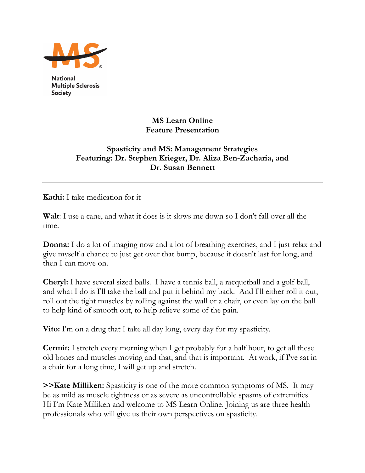

**National Multiple Sclerosis Society** 

## **MS Learn Online Feature Presentation**

## **Spasticity and MS: Management Strategies Featuring: Dr. Stephen Krieger, Dr. Aliza Ben-Zacharia, and Dr. Susan Bennett**

**Kathi:** I take medication for it

Walt: I use a cane, and what it does is it slows me down so I don't fall over all the time.

**Donna:** I do a lot of imaging now and a lot of breathing exercises, and I just relax and give myself a chance to just get over that bump, because it doesn't last for long, and then I can move on.

**Cheryl:** I have several sized balls. I have a tennis ball, a racquetball and a golf ball, and what I do is I'll take the ball and put it behind my back. And I'll either roll it out, roll out the tight muscles by rolling against the wall or a chair, or even lay on the ball to help kind of smooth out, to help relieve some of the pain.

**Vito:** I'm on a drug that I take all day long, every day for my spasticity.

**Cermit:** I stretch every morning when I get probably for a half hour, to get all these old bones and muscles moving and that, and that is important. At work, if I've sat in a chair for a long time, I will get up and stretch.

**>>Kate Milliken:** Spasticity is one of the more common symptoms of MS. It may be as mild as muscle tightness or as severe as uncontrollable spasms of extremities. Hi I'm Kate Milliken and welcome to MS Learn Online. Joining us are three health professionals who will give us their own perspectives on spasticity.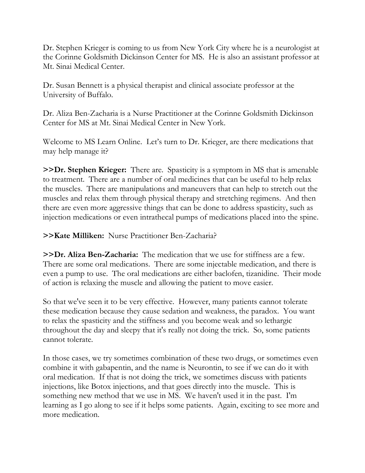Dr. Stephen Krieger is coming to us from New York City where he is a neurologist at the Corinne Goldsmith Dickinson Center for MS. He is also an assistant professor at Mt. Sinai Medical Center.

Dr. Susan Bennett is a physical therapist and clinical associate professor at the University of Buffalo.

Dr. Aliza Ben-Zacharia is a Nurse Practitioner at the Corinne Goldsmith Dickinson Center for MS at Mt. Sinai Medical Center in New York.

Welcome to MS Learn Online. Let's turn to Dr. Krieger, are there medications that may help manage it?

**>>Dr. Stephen Krieger:** There are. Spasticity is a symptom in MS that is amenable to treatment. There are a number of oral medicines that can be useful to help relax the muscles. There are manipulations and maneuvers that can help to stretch out the muscles and relax them through physical therapy and stretching regimens. And then there are even more aggressive things that can be done to address spasticity, such as injection medications or even intrathecal pumps of medications placed into the spine.

**>>Kate Milliken:** Nurse Practitioner Ben-Zacharia?

**>>Dr. Aliza Ben-Zacharia:** The medication that we use for stiffness are a few. There are some oral medications. There are some injectable medication, and there is even a pump to use. The oral medications are either baclofen, tizanidine. Their mode of action is relaxing the muscle and allowing the patient to move easier.

So that we've seen it to be very effective. However, many patients cannot tolerate these medication because they cause sedation and weakness, the paradox. You want to relax the spasticity and the stiffness and you become weak and so lethargic throughout the day and sleepy that it's really not doing the trick. So, some patients cannot tolerate.

In those cases, we try sometimes combination of these two drugs, or sometimes even combine it with gabapentin, and the name is Neurontin, to see if we can do it with oral medication. If that is not doing the trick, we sometimes discuss with patients injections, like Botox injections, and that goes directly into the muscle. This is something new method that we use in MS. We haven't used it in the past. I'm learning as I go along to see if it helps some patients. Again, exciting to see more and more medication.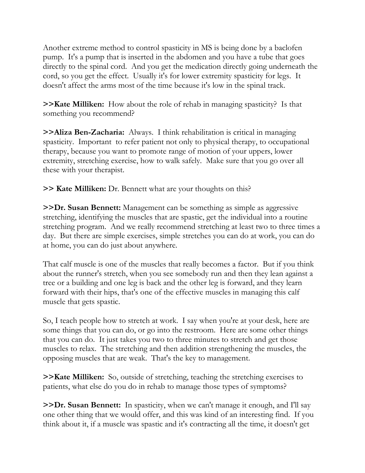Another extreme method to control spasticity in MS is being done by a baclofen pump. It's a pump that is inserted in the abdomen and you have a tube that goes directly to the spinal cord. And you get the medication directly going underneath the cord, so you get the effect. Usually it's for lower extremity spasticity for legs. It doesn't affect the arms most of the time because it's low in the spinal track.

**>>Kate Milliken:** How about the role of rehab in managing spasticity? Is that something you recommend?

**>>Aliza Ben-Zacharia:** Always. I think rehabilitation is critical in managing spasticity. Important to refer patient not only to physical therapy, to occupational therapy, because you want to promote range of motion of your uppers, lower extremity, stretching exercise, how to walk safely. Make sure that you go over all these with your therapist.

**>> Kate Milliken:** Dr. Bennett what are your thoughts on this?

**>>Dr. Susan Bennett:** Management can be something as simple as aggressive stretching, identifying the muscles that are spastic, get the individual into a routine stretching program. And we really recommend stretching at least two to three times a day. But there are simple exercises, simple stretches you can do at work, you can do at home, you can do just about anywhere.

That calf muscle is one of the muscles that really becomes a factor. But if you think about the runner's stretch, when you see somebody run and then they lean against a tree or a building and one leg is back and the other leg is forward, and they learn forward with their hips, that's one of the effective muscles in managing this calf muscle that gets spastic.

So, I teach people how to stretch at work. I say when you're at your desk, here are some things that you can do, or go into the restroom. Here are some other things that you can do. It just takes you two to three minutes to stretch and get those muscles to relax. The stretching and then addition strengthening the muscles, the opposing muscles that are weak. That's the key to management.

**>>Kate Milliken:** So, outside of stretching, teaching the stretching exercises to patients, what else do you do in rehab to manage those types of symptoms?

**>>Dr. Susan Bennett:** In spasticity, when we can't manage it enough, and I'll say one other thing that we would offer, and this was kind of an interesting find. If you think about it, if a muscle was spastic and it's contracting all the time, it doesn't get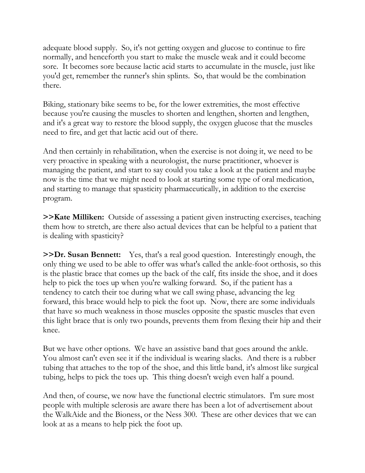adequate blood supply. So, it's not getting oxygen and glucose to continue to fire normally, and henceforth you start to make the muscle weak and it could become sore. It becomes sore because lactic acid starts to accumulate in the muscle, just like you'd get, remember the runner's shin splints. So, that would be the combination there.

Biking, stationary bike seems to be, for the lower extremities, the most effective because you're causing the muscles to shorten and lengthen, shorten and lengthen, and it's a great way to restore the blood supply, the oxygen glucose that the muscles need to fire, and get that lactic acid out of there.

And then certainly in rehabilitation, when the exercise is not doing it, we need to be very proactive in speaking with a neurologist, the nurse practitioner, whoever is managing the patient, and start to say could you take a look at the patient and maybe now is the time that we might need to look at starting some type of oral medication, and starting to manage that spasticity pharmaceutically, in addition to the exercise program.

**>>Kate Milliken:** Outside of assessing a patient given instructing exercises, teaching them how to stretch, are there also actual devices that can be helpful to a patient that is dealing with spasticity?

**>>Dr. Susan Bennett:** Yes, that's a real good question. Interestingly enough, the only thing we used to be able to offer was what's called the ankle-foot orthosis, so this is the plastic brace that comes up the back of the calf, fits inside the shoe, and it does help to pick the toes up when you're walking forward. So, if the patient has a tendency to catch their toe during what we call swing phase, advancing the leg forward, this brace would help to pick the foot up. Now, there are some individuals that have so much weakness in those muscles opposite the spastic muscles that even this light brace that is only two pounds, prevents them from flexing their hip and their knee.

But we have other options. We have an assistive band that goes around the ankle. You almost can't even see it if the individual is wearing slacks. And there is a rubber tubing that attaches to the top of the shoe, and this little band, it's almost like surgical tubing, helps to pick the toes up. This thing doesn't weigh even half a pound.

And then, of course, we now have the functional electric stimulators. I'm sure most people with multiple sclerosis are aware there has been a lot of advertisement about the WalkAide and the Bioness, or the Ness 300. These are other devices that we can look at as a means to help pick the foot up.